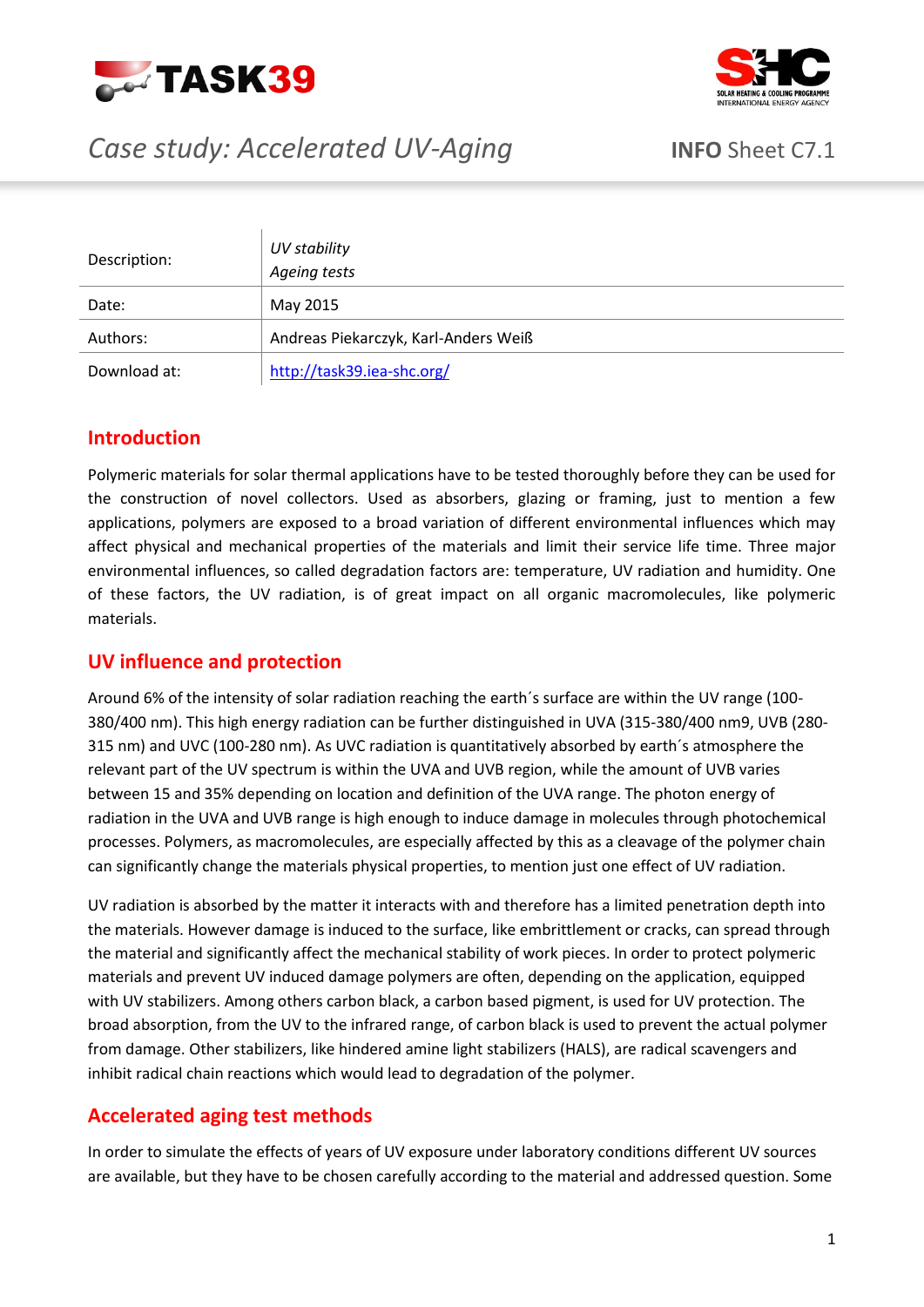



# *Case study: Accelerated UV-Aging* **INFO** Sheet C7.1

| Description: | UV stability<br>Ageing tests         |
|--------------|--------------------------------------|
| Date:        | May 2015                             |
| Authors:     | Andreas Piekarczyk, Karl-Anders Weiß |
| Download at: | http://task39.iea-shc.org/           |

## **Introduction**

Polymeric materials for solar thermal applications have to be tested thoroughly before they can be used for the construction of novel collectors. Used as absorbers, glazing or framing, just to mention a few applications, polymers are exposed to a broad variation of different environmental influences which may affect physical and mechanical properties of the materials and limit their service life time. Three major environmental influences, so called degradation factors are: temperature, UV radiation and humidity. One of these factors, the UV radiation, is of great impact on all organic macromolecules, like polymeric materials.

### **UV influence and protection**

Around 6% of the intensity of solar radiation reaching the earth´s surface are within the UV range (100- 380/400 nm). This high energy radiation can be further distinguished in UVA (315-380/400 nm9, UVB (280- 315 nm) and UVC (100-280 nm). As UVC radiation is quantitatively absorbed by earth´s atmosphere the relevant part of the UV spectrum is within the UVA and UVB region, while the amount of UVB varies between 15 and 35% depending on location and definition of the UVA range. The photon energy of radiation in the UVA and UVB range is high enough to induce damage in molecules through photochemical processes. Polymers, as macromolecules, are especially affected by this as a cleavage of the polymer chain can significantly change the materials physical properties, to mention just one effect of UV radiation.

UV radiation is absorbed by the matter it interacts with and therefore has a limited penetration depth into the materials. However damage is induced to the surface, like embrittlement or cracks, can spread through the material and significantly affect the mechanical stability of work pieces. In order to protect polymeric materials and prevent UV induced damage polymers are often, depending on the application, equipped with UV stabilizers. Among others carbon black, a carbon based pigment, is used for UV protection. The broad absorption, from the UV to the infrared range, of carbon black is used to prevent the actual polymer from damage. Other stabilizers, like hindered amine light stabilizers (HALS), are radical scavengers and inhibit radical chain reactions which would lead to degradation of the polymer.

## **Accelerated aging test methods**

In order to simulate the effects of years of UV exposure under laboratory conditions different UV sources are available, but they have to be chosen carefully according to the material and addressed question. Some